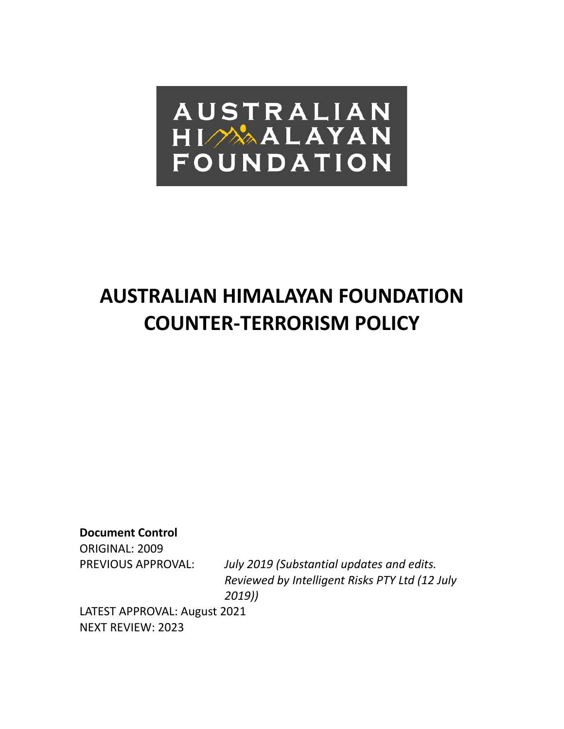

# **AUSTRALIAN HIMALAYAN FOUNDATION COUNTER-TERRORISM POLICY**

**Document Control**

ORIGINAL: 2009

PREVIOUS APPROVAL: *July 2019 (Substantial updates and edits. Reviewed by Intelligent Risks PTY Ltd (12 July 2019))*

LATEST APPROVAL: August 2021 NEXT REVIEW: 2023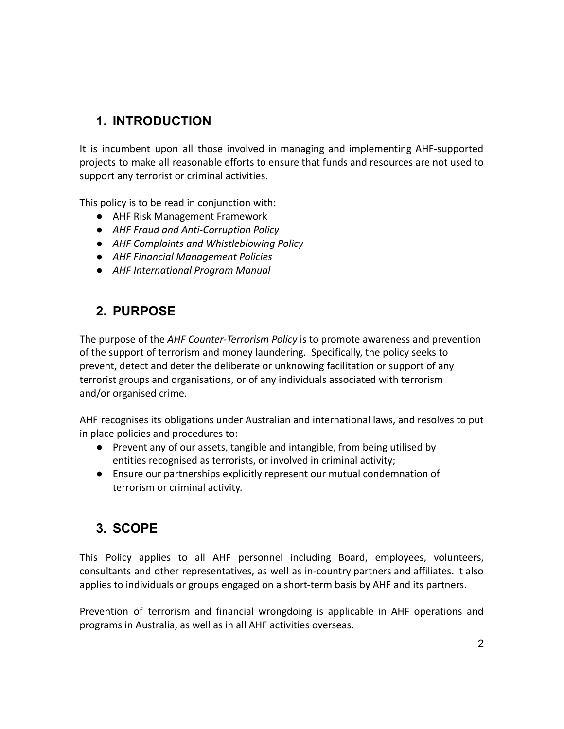# **1. INTRODUCTION**

It is incumbent upon all those involved in managing and implementing AHF-supported projects to make all reasonable efforts to ensure that funds and resources are not used to support any terrorist or criminal activities.

This policy is to be read in conjunction with:

- *●* AHF Risk Management Framework
- *● AHF Fraud and Anti-Corruption Policy*
- *● AHF Complaints and Whistleblowing Policy*
- *● AHF Financial Management Policies*
- *● AHF International Program Manual*

# **2. PURPOSE**

The purpose of the *AHF Counter-Terrorism Policy* is to promote awareness and prevention of the support of terrorism and money laundering. Specifically, the policy seeks to prevent, detect and deter the deliberate or unknowing facilitation or support of any terrorist groups and organisations, or of any individuals associated with terrorism and/or organised crime.

AHF recognises its obligations under Australian and international laws, and resolves to put in place policies and procedures to:

- Prevent any of our assets, tangible and intangible, from being utilised by entities recognised as terrorists, or involved in criminal activity;
- Ensure our partnerships explicitly represent our mutual condemnation of terrorism or criminal activity.

# **3. SCOPE**

This Policy applies to all AHF personnel including Board, employees, volunteers, consultants and other representatives, as well as in-country partners and affiliates. It also applies to individuals or groups engaged on a short-term basis by AHF and its partners.

Prevention of terrorism and financial wrongdoing is applicable in AHF operations and programs in Australia, as well as in all AHF activities overseas.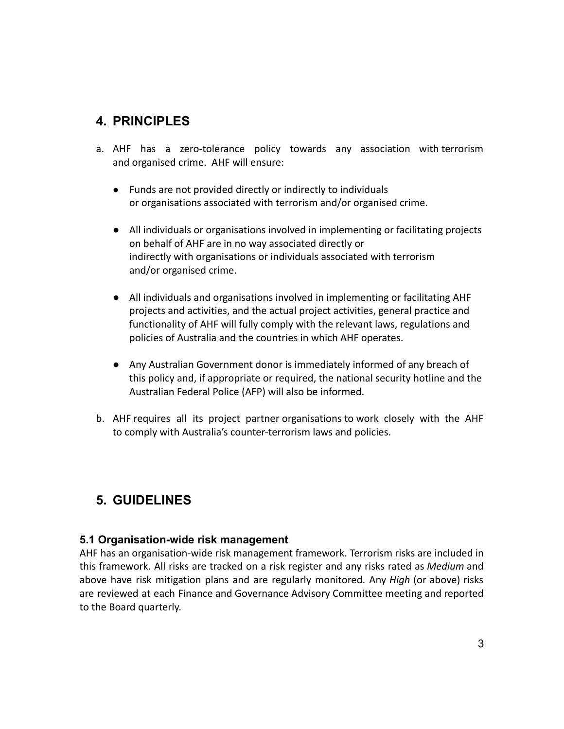# **4. PRINCIPLES**

- a. AHF has a zero-tolerance policy towards any association with terrorism and organised crime. AHF will ensure:
	- Funds are not provided directly or indirectly to individuals or organisations associated with terrorism and/or organised crime.
	- All individuals or organisations involved in implementing or facilitating projects on behalf of AHF are in no way associated directly or indirectly with organisations or individuals associated with terrorism and/or organised crime.
	- All individuals and organisations involved in implementing or facilitating AHF projects and activities, and the actual project activities, general practice and functionality of AHF will fully comply with the relevant laws, regulations and policies of Australia and the countries in which AHF operates.
	- Any Australian Government donor is immediately informed of any breach of this policy and, if appropriate or required, the national security hotline and the Australian Federal Police (AFP) will also be informed.
- b. AHF requires all its project partner organisations to work closely with the AHF to comply with Australia's counter-terrorism laws and policies.

# **5. GUIDELINES**

## **5.1 Organisation-wide risk management**

AHF has an organisation-wide risk management framework. Terrorism risks are included in this framework. All risks are tracked on a risk register and any risks rated as *Medium* and above have risk mitigation plans and are regularly monitored. Any *High* (or above) risks are reviewed at each Finance and Governance Advisory Committee meeting and reported to the Board quarterly.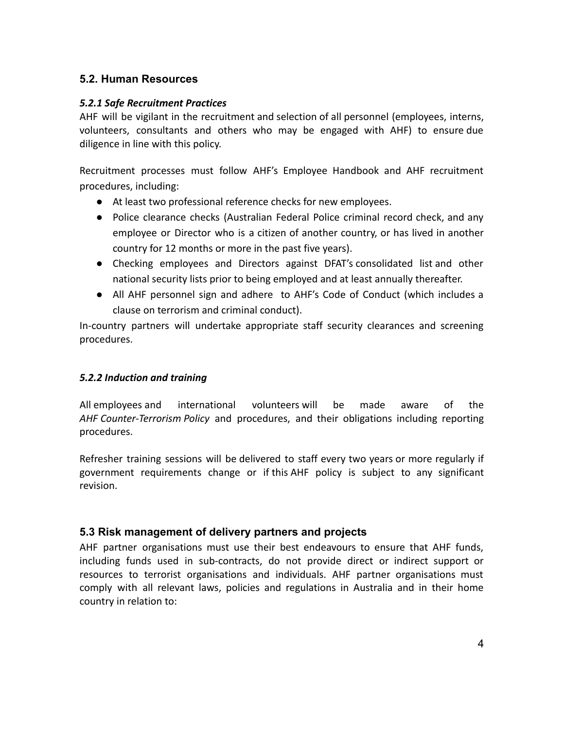### **5.2. Human Resources**

#### *5.2.1 Safe Recruitment Practices*

AHF will be vigilant in the recruitment and selection of all personnel (employees, interns, volunteers, consultants and others who may be engaged with AHF) to ensure due diligence in line with this policy.

Recruitment processes must follow AHF's Employee Handbook and AHF recruitment procedures, including:

- At least two professional reference checks for new employees.
- Police clearance checks (Australian Federal Police criminal record check, and any employee or Director who is a citizen of another country, or has lived in another country for 12 months or more in the past five years).
- Checking employees and Directors against DFAT's consolidated list and other national security lists prior to being employed and at least annually thereafter.
- All AHF personnel sign and adhere to AHF's Code of Conduct (which includes a clause on terrorism and criminal conduct).

In-country partners will undertake appropriate staff security clearances and screening procedures.

#### *5.2.2 Induction and training*

All employees and international volunteers will be made aware of the *AHF Counter-Terrorism Policy* and procedures, and their obligations including reporting procedures.

Refresher training sessions will be delivered to staff every two years or more regularly if government requirements change or if this AHF policy is subject to any significant revision.

## **5.3 Risk management of delivery partners and projects**

AHF partner organisations must use their best endeavours to ensure that AHF funds, including funds used in sub‐contracts, do not provide direct or indirect support or resources to terrorist organisations and individuals. AHF partner organisations must comply with all relevant laws, policies and regulations in Australia and in their home country in relation to: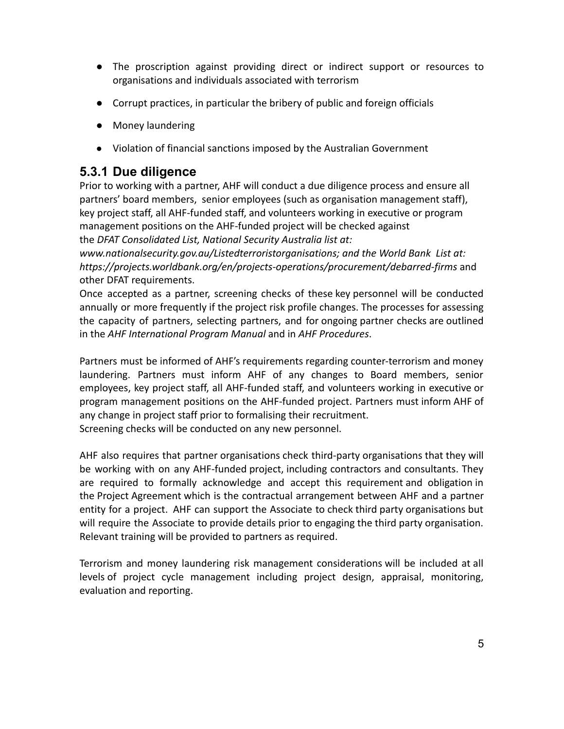- **●** The proscription against providing direct or indirect support or resources to organisations and individuals associated with terrorism
- **●** Corrupt practices, in particular the bribery of public and foreign officials
- **●** Money laundering
- Violation of financial sanctions imposed by the Australian Government

## **5.3.1 Due diligence**

Prior to working with a partner, AHF will conduct a due diligence process and ensure all partners' board members, senior employees (such as organisation management staff), key project staff, all AHF-funded staff, and volunteers working in executive or program management positions on the AHF-funded project will be checked against the *DFAT Consolidated List, National Security Australia list at:*

*[www.nationalsecurity.gov.au/Listedterroristorganisations;](http://www.nationalsecurity.gov.au/Listedterroristorganisations) and the World Bank List at: <https://projects.worldbank.org/en/projects-operations/procurement/debarred-firms>* and other DFAT requirements.

Once accepted as a partner, screening checks of these key personnel will be conducted annually or more frequently if the project risk profile changes. The processes for assessing the capacity of partners, selecting partners, and for ongoing partner checks are outlined in the *AHF International Program Manual* and in *AHF Procedures*.

Partners must be informed of AHF's requirements regarding counter-terrorism and money laundering. Partners must inform AHF of any changes to Board members, senior employees, key project staff, all AHF-funded staff, and volunteers working in executive or program management positions on the AHF-funded project. Partners must inform AHF of any change in project staff prior to formalising their recruitment. Screening checks will be conducted on any new personnel.

AHF also requires that partner organisations check third-party organisations that they will be working with on any AHF-funded project, including contractors and consultants. They are required to formally acknowledge and accept this requirement and obligation in the Project Agreement which is the contractual arrangement between AHF and a partner entity for a project. AHF can support the Associate to check third party organisations but will require the Associate to provide details prior to engaging the third party organisation. Relevant training will be provided to partners as required.

Terrorism and money laundering risk management considerations will be included at all levels of project cycle management including project design, appraisal, monitoring, evaluation and reporting.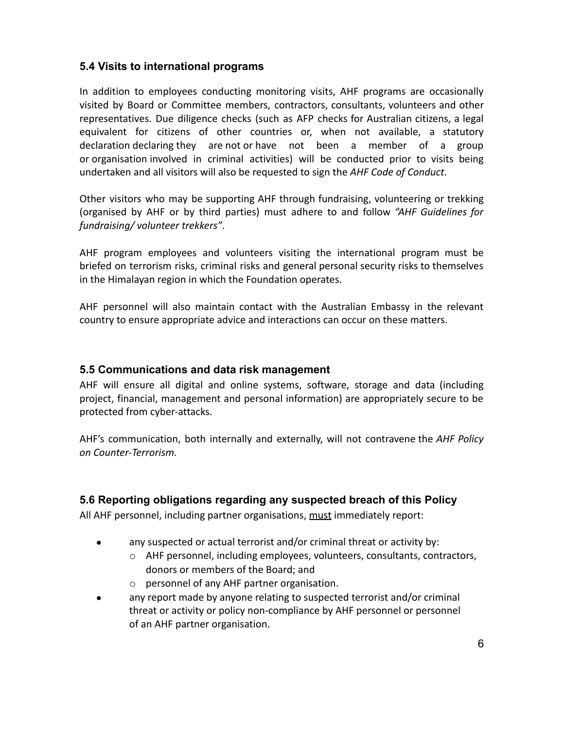## **5.4 Visits to international programs**

In addition to employees conducting monitoring visits, AHF programs are occasionally visited by Board or Committee members, contractors, consultants, volunteers and other representatives. Due diligence checks (such as AFP checks for Australian citizens, a legal equivalent for citizens of other countries or, when not available, a statutory declaration declaring they are not or have not been a member of a group or organisation involved in criminal activities) will be conducted prior to visits being undertaken and all visitors will also be requested to sign the *AHF Code of Conduct*.

Other visitors who may be supporting AHF through fundraising, volunteering or trekking (organised by AHF or by third parties) must adhere to and follow *"AHF Guidelines for fundraising/ volunteer trekkers"*.

AHF program employees and volunteers visiting the international program must be briefed on terrorism risks, criminal risks and general personal security risks to themselves in the Himalayan region in which the Foundation operates.

AHF personnel will also maintain contact with the Australian Embassy in the relevant country to ensure appropriate advice and interactions can occur on these matters.

#### **5.5 Communications and data risk management**

AHF will ensure all digital and online systems, software, storage and data (including project, financial, management and personal information) are appropriately secure to be protected from cyber-attacks.

AHF's communication, both internally and externally, will not contravene the *AHF Policy on Counter-Terrorism.*

#### **5.6 Reporting obligations regarding any suspected breach of this Policy**

All AHF personnel, including partner organisations, must immediately report:

- any suspected or actual terrorist and/or criminal threat or activity by:
	- o AHF personnel, including employees, volunteers, consultants, contractors, donors or members of the Board; and
	- o personnel of any AHF partner organisation.
- any report made by anyone relating to suspected terrorist and/or criminal threat or activity or policy non-compliance by AHF personnel or personnel of an AHF partner organisation.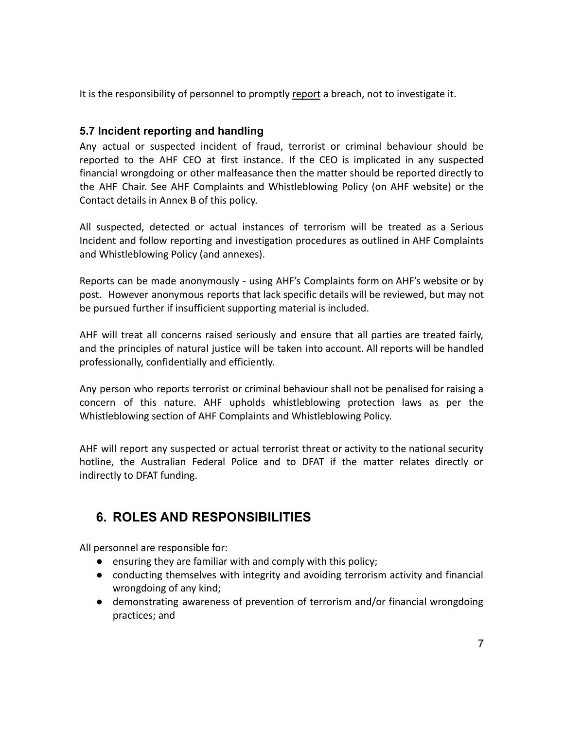It is the responsibility of personnel to promptly report a breach, not to investigate it.

## **5.7 Incident reporting and handling**

Any actual or suspected incident of fraud, terrorist or criminal behaviour should be reported to the AHF CEO at first instance. If the CEO is implicated in any suspected financial wrongdoing or other malfeasance then the matter should be reported directly to the AHF Chair. See AHF Complaints and Whistleblowing Policy (on AHF website) or the Contact details in Annex B of this policy.

All suspected, detected or actual instances of terrorism will be treated as a Serious Incident and follow reporting and investigation procedures as outlined in AHF Complaints and Whistleblowing Policy (and annexes).

Reports can be made anonymously - using AHF's Complaints form on AHF's website or by post. However anonymous reports that lack specific details will be reviewed, but may not be pursued further if insufficient supporting material is included.

AHF will treat all concerns raised seriously and ensure that all parties are treated fairly, and the principles of natural justice will be taken into account. All reports will be handled professionally, confidentially and efficiently.

Any person who reports terrorist or criminal behaviour shall not be penalised for raising a concern of this nature. AHF upholds whistleblowing protection laws as per the Whistleblowing section of AHF Complaints and Whistleblowing Policy.

AHF will report any suspected or actual terrorist threat or activity to the national security hotline, the Australian Federal Police and to DFAT if the matter relates directly or indirectly to DFAT funding.

# **6. ROLES AND RESPONSIBILITIES**

All personnel are responsible for:

- ensuring they are familiar with and comply with this policy;
- conducting themselves with integrity and avoiding terrorism activity and financial wrongdoing of any kind;
- demonstrating awareness of prevention of terrorism and/or financial wrongdoing practices; and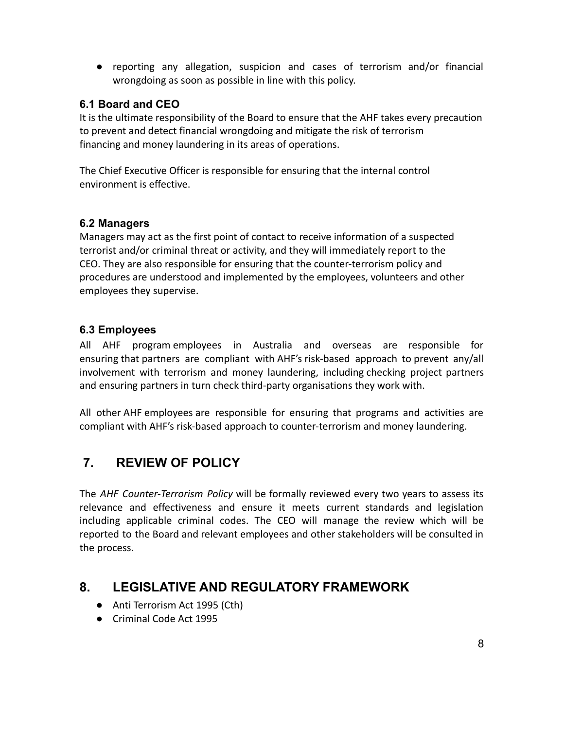● reporting any allegation, suspicion and cases of terrorism and/or financial wrongdoing as soon as possible in line with this policy.

## **6.1 Board and CEO**

It is the ultimate responsibility of the Board to ensure that the AHF takes every precaution to prevent and detect financial wrongdoing and mitigate the risk of terrorism financing and money laundering in its areas of operations.

The Chief Executive Officer is responsible for ensuring that the internal control environment is effective.

## **6.2 Managers**

Managers may act as the first point of contact to receive information of a suspected terrorist and/or criminal threat or activity, and they will immediately report to the CEO. They are also responsible for ensuring that the counter-terrorism policy and procedures are understood and implemented by the employees, volunteers and other employees they supervise.

## **6.3 Employees**

All AHF program employees in Australia and overseas are responsible for ensuring that partners are compliant with AHF's risk-based approach to prevent any/all involvement with terrorism and money laundering, including checking project partners and ensuring partners in turn check third-party organisations they work with.

All other AHF employees are responsible for ensuring that programs and activities are compliant with AHF's risk-based approach to counter-terrorism and money laundering.

# **7. REVIEW OF POLICY**

The *AHF Counter-Terrorism Policy* will be formally reviewed every two years to assess its relevance and effectiveness and ensure it meets current standards and legislation including applicable criminal codes. The CEO will manage the review which will be reported to the Board and relevant employees and other stakeholders will be consulted in the process.

## **8. LEGISLATIVE AND REGULATORY FRAMEWORK**

- Anti Terrorism Act 1995 (Cth)
- Criminal Code Act 1995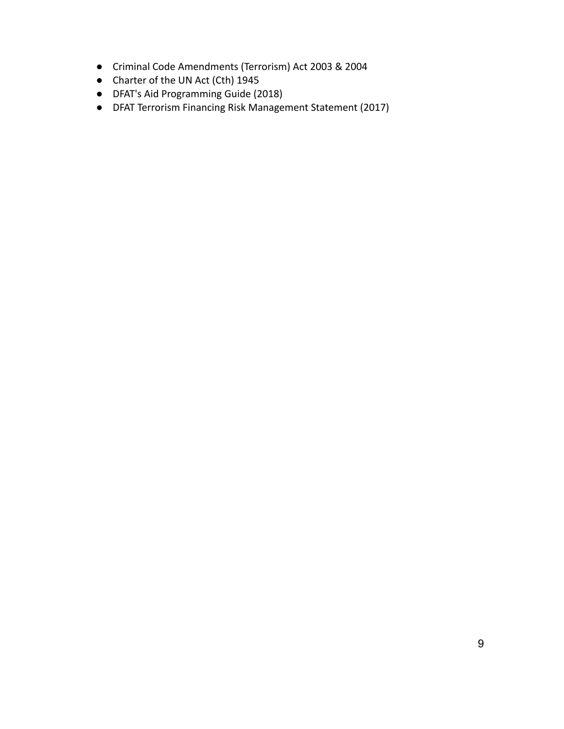- [Criminal Code Amendments](http://parlinfoweb.aph.gov.au/piweb/browse.aspx?path=Legislation%20%3E%20Old%20Bills%20%3E%20Criminal%20Code%20Amendment%20(Terrorism)%20Bill%202003) (Terrorism) Act 2003 & 2004
- Charter of the UN Act (Cth) 1945
- DFAT's Aid Programming Guide (2018)
- DFAT Terrorism Financing Risk Management Statement (2017)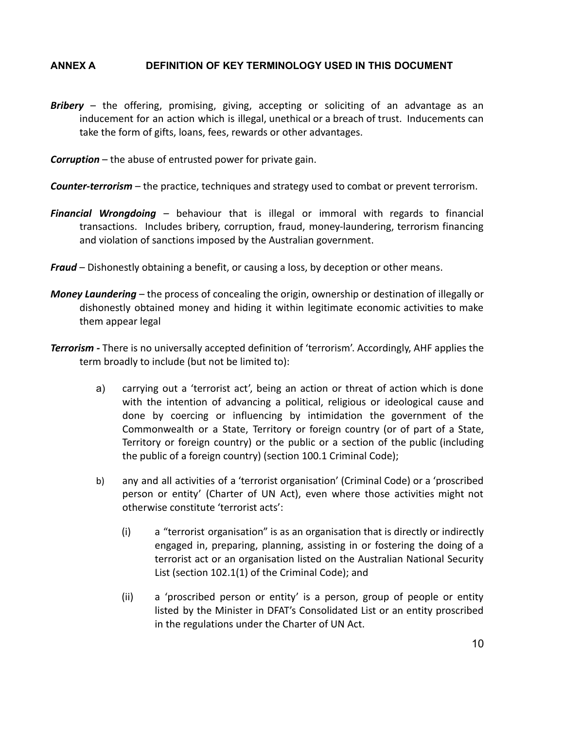#### **ANNEX A DEFINITION OF KEY TERMINOLOGY USED IN THIS DOCUMENT**

- *Bribery* the offering, promising, giving, accepting or soliciting of an advantage as an inducement for an action which is illegal, unethical or a breach of trust. Inducements can take the form of gifts, loans, fees, rewards or other advantages.
- *Corruption* the abuse of entrusted power for private gain.
- *Counter-terrorism* the practice, techniques and strategy used to combat or prevent terrorism.
- *Financial Wrongdoing* behaviour that is illegal or immoral with regards to financial transactions. Includes bribery, corruption, fraud, money-laundering, terrorism financing and violation of sanctions imposed by the Australian government.
- *Fraud* Dishonestly obtaining a benefit, or causing a loss, by deception or other means.
- *Money Laundering* the process of concealing the origin, ownership or destination of illegally or dishonestly obtained money and hiding it within legitimate economic activities to make them appear legal
- *Terrorism -* There is no universally accepted definition of 'terrorism'. Accordingly, AHF applies the term broadly to include (but not be limited to):
	- a) carrying out a 'terrorist act', being an action or threat of action which is done with the intention of advancing a political, religious or ideological cause and done by coercing or influencing by intimidation the government of the Commonwealth or a State, Territory or foreign country (or of part of a State, Territory or foreign country) or the public or a section of the public (including the public of a foreign country) (section 100.1 Criminal Code);
	- b) any and all activities of a 'terrorist organisation' (Criminal Code) or a 'proscribed person or entity' (Charter of UN Act), even where those activities might not otherwise constitute 'terrorist acts':
		- (i) a "terrorist organisation" is as an organisation that is directly or indirectly engaged in, preparing, planning, assisting in or fostering the doing of a terrorist act or an organisation listed on the Australian National Security List (section 102.1(1) of the Criminal Code); and
		- (ii) a 'proscribed person or entity' is a person, group of people or entity listed by the Minister in DFAT's Consolidated List or an entity proscribed in the regulations under the Charter of UN Act.